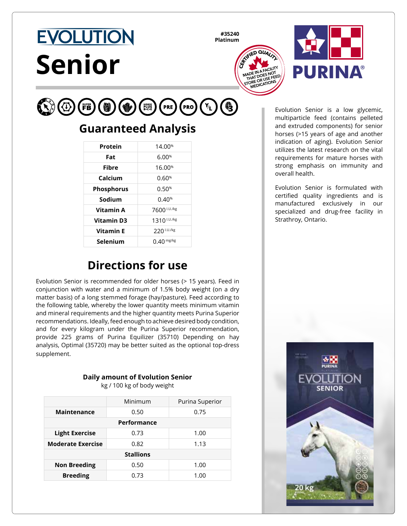#### **#35240 Platinum**



# **Senior**

**EVOLUTION** 



#### $\mathbb{C}$   $\circ$  $(Y_L)$ (FB (PRO)  $PRE$ 6

## **Guaranteed Analysis**

| Protein           | 14.00 <sup>%</sup>      |
|-------------------|-------------------------|
| Fat               | 6.00%                   |
| Fibre             | 16.00%                  |
| Calcium           | 0.60%                   |
| <b>Phosphorus</b> | 0.50%                   |
| Sodium            | 0.40%                   |
| <b>Vitamin A</b>  | 7600 <sup>I.U./kg</sup> |
| <b>Vitamin D3</b> | 1310 <sup>I.U./kg</sup> |
| <b>Vitamin E</b>  | 220 I.U./kg             |
| Selenium          | $0.40$ mg/kg            |

# **Directions for use**

Evolution Senior is recommended for older horses (> 15 years). Feed in conjunction with water and a minimum of 1.5% body weight (on a dry matter basis) of a long stemmed forage (hay/pasture). Feed according to the following table, whereby the lower quantity meets minimum vitamin and mineral requirements and the higher quantity meets Purina Superior recommendations. Ideally, feed enough to achieve desired body condition, and for every kilogram under the Purina Superior recommendation, provide 225 grams of Purina Equilizer (35710) Depending on hay analysis, Optimal (35720) may be better suited as the optional top-dress supplement.

## **Daily amount of Evolution Senior**

kg / 100 kg of body weight

| Minimum          | Purina Superior |  |  |
|------------------|-----------------|--|--|
| 0.50             | 0.75            |  |  |
| Performance      |                 |  |  |
| 0.73             | 1.00            |  |  |
| 0.82             | 1.13            |  |  |
| <b>Stallions</b> |                 |  |  |
| 0.50             | 1.00            |  |  |
| 0.73             | 1.00            |  |  |
|                  |                 |  |  |

Evolution Senior is a low glycemic, multiparticle feed (contains pelleted and extruded components) for senior horses (>15 years of age and another indication of aging). Evolution Senior utilizes the latest research on the vital requirements for mature horses with strong emphasis on immunity and overall health.

Evolution Senior is formulated with certified quality ingredients and is manufactured exclusively in our specialized and drug-free facility in Strathroy, Ontario.